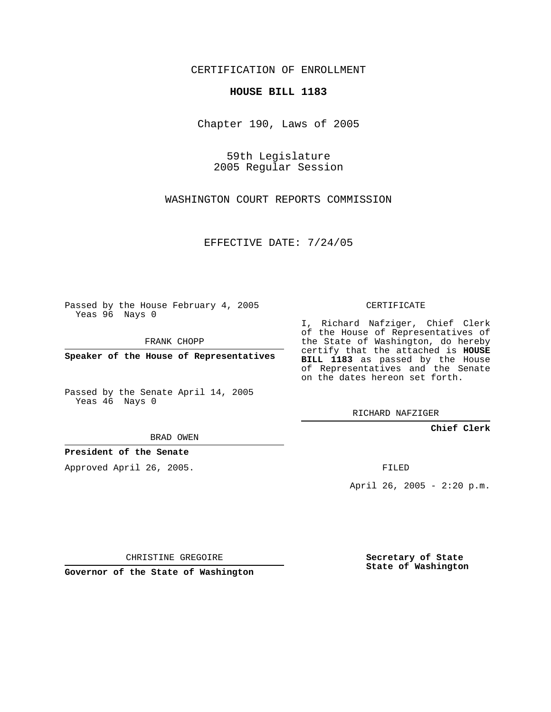CERTIFICATION OF ENROLLMENT

## **HOUSE BILL 1183**

Chapter 190, Laws of 2005

59th Legislature 2005 Regular Session

WASHINGTON COURT REPORTS COMMISSION

EFFECTIVE DATE: 7/24/05

Passed by the House February 4, 2005 Yeas 96 Nays 0

FRANK CHOPP

**Speaker of the House of Representatives**

Passed by the Senate April 14, 2005 Yeas 46 Nays 0

BRAD OWEN

**President of the Senate**

Approved April 26, 2005.

CERTIFICATE

I, Richard Nafziger, Chief Clerk of the House of Representatives of the State of Washington, do hereby certify that the attached is **HOUSE BILL 1183** as passed by the House of Representatives and the Senate on the dates hereon set forth.

RICHARD NAFZIGER

**Chief Clerk**

FILED

April 26, 2005 - 2:20 p.m.

CHRISTINE GREGOIRE

**Governor of the State of Washington**

**Secretary of State State of Washington**